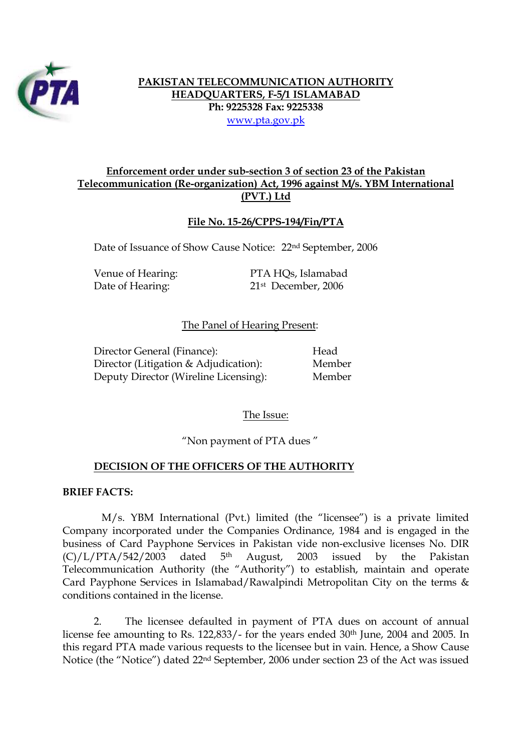

# **PAKISTAN TELECOMMUNICATION AUTHORITY HEADQUARTERS, F-5/1 ISLAMABAD Ph: 9225328 Fax: 9225338**  www.pta.gov.pk

# **Enforcement order under sub-section 3 of section 23 of the Pakistan Telecommunication (Re-organization) Act, 1996 against M/s. YBM International (PVT.) Ltd**

### **File No. 15-26/CPPS-194/Fin/PTA**

Date of Issuance of Show Cause Notice: 22nd September, 2006

| Venue of Hearing: |  |
|-------------------|--|
| Date of Hearing:  |  |

PTA HOs, Islamabad 21st December, 2006

### The Panel of Hearing Present:

| Director General (Finance):           | Head   |
|---------------------------------------|--------|
| Director (Litigation & Adjudication): | Member |
| Deputy Director (Wireline Licensing): | Member |

The Issue:

"Non payment of PTA dues "

### **DECISION OF THE OFFICERS OF THE AUTHORITY**

#### **BRIEF FACTS:**

M/s. YBM International (Pvt.) limited (the "licensee") is a private limited Company incorporated under the Companies Ordinance, 1984 and is engaged in the business of Card Payphone Services in Pakistan vide non-exclusive licenses No. DIR  $(C)/L/PTA/542/2003$  dated 5<sup>th</sup> August, 2003 issued by the Pakistan Telecommunication Authority (the "Authority") to establish, maintain and operate Card Payphone Services in Islamabad/Rawalpindi Metropolitan City on the terms & conditions contained in the license.

2. The licensee defaulted in payment of PTA dues on account of annual license fee amounting to Rs. 122,833/- for the years ended 30th June, 2004 and 2005. In this regard PTA made various requests to the licensee but in vain. Hence, a Show Cause Notice (the "Notice") dated 22nd September, 2006 under section 23 of the Act was issued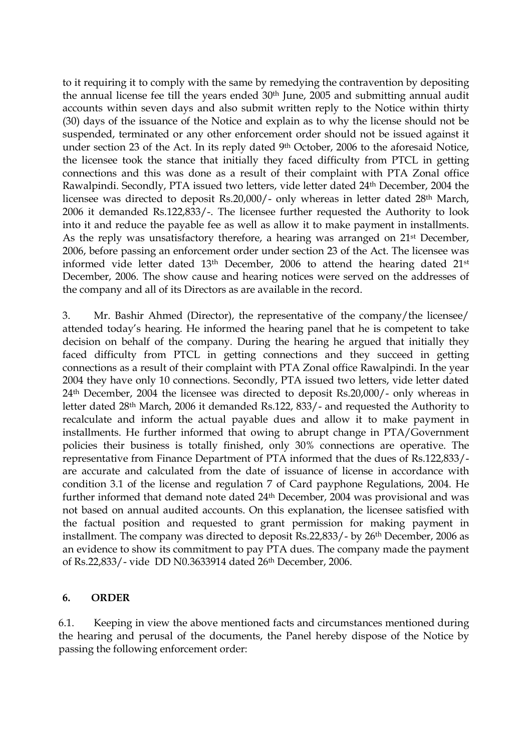to it requiring it to comply with the same by remedying the contravention by depositing the annual license fee till the years ended 30<sup>th</sup> June, 2005 and submitting annual audit accounts within seven days and also submit written reply to the Notice within thirty (30) days of the issuance of the Notice and explain as to why the license should not be suspended, terminated or any other enforcement order should not be issued against it under section 23 of the Act. In its reply dated 9th October, 2006 to the aforesaid Notice, the licensee took the stance that initially they faced difficulty from PTCL in getting connections and this was done as a result of their complaint with PTA Zonal office Rawalpindi. Secondly, PTA issued two letters, vide letter dated 24th December, 2004 the licensee was directed to deposit Rs.20,000/- only whereas in letter dated 28th March, 2006 it demanded Rs.122,833/-. The licensee further requested the Authority to look into it and reduce the payable fee as well as allow it to make payment in installments. As the reply was unsatisfactory therefore, a hearing was arranged on 21st December, 2006, before passing an enforcement order under section 23 of the Act. The licensee was informed vide letter dated 13th December, 2006 to attend the hearing dated 21st December, 2006. The show cause and hearing notices were served on the addresses of the company and all of its Directors as are available in the record.

3. Mr. Bashir Ahmed (Director), the representative of the company/the licensee/ attended today's hearing. He informed the hearing panel that he is competent to take decision on behalf of the company. During the hearing he argued that initially they faced difficulty from PTCL in getting connections and they succeed in getting connections as a result of their complaint with PTA Zonal office Rawalpindi. In the year 2004 they have only 10 connections. Secondly, PTA issued two letters, vide letter dated 24th December, 2004 the licensee was directed to deposit Rs.20,000/- only whereas in letter dated 28th March, 2006 it demanded Rs.122, 833/- and requested the Authority to recalculate and inform the actual payable dues and allow it to make payment in installments. He further informed that owing to abrupt change in PTA/Government policies their business is totally finished, only 30% connections are operative. The representative from Finance Department of PTA informed that the dues of Rs.122,833/ are accurate and calculated from the date of issuance of license in accordance with condition 3.1 of the license and regulation 7 of Card payphone Regulations, 2004. He further informed that demand note dated 24<sup>th</sup> December, 2004 was provisional and was not based on annual audited accounts. On this explanation, the licensee satisfied with the factual position and requested to grant permission for making payment in installment. The company was directed to deposit Rs.22,833/- by 26th December, 2006 as an evidence to show its commitment to pay PTA dues. The company made the payment of Rs.22,833/- vide DD N0.3633914 dated 26th December, 2006.

# **6. ORDER**

6.1. Keeping in view the above mentioned facts and circumstances mentioned during the hearing and perusal of the documents, the Panel hereby dispose of the Notice by passing the following enforcement order: